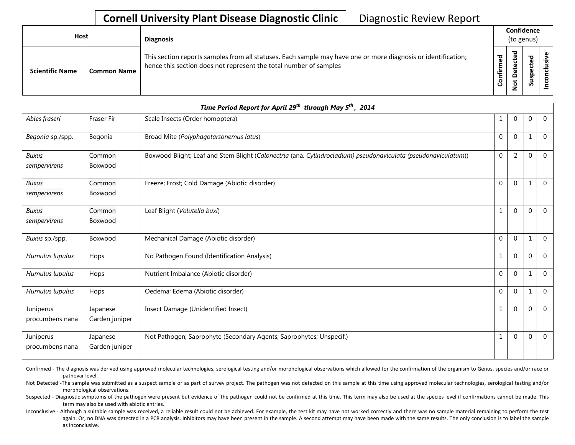## **Cornell University Plant Disease Diagnostic Clinic** | Diagnostic Review Report

| Host                   |                    | <b>Diagnosis</b>                                                                                                                                                                   |                        |                                  | Confidence<br>(to genus) |   |
|------------------------|--------------------|------------------------------------------------------------------------------------------------------------------------------------------------------------------------------------|------------------------|----------------------------------|--------------------------|---|
| <b>Scientific Name</b> | <b>Common Name</b> | This section reports samples from all statuses. Each sample may have one or more diagnosis or identification;<br>hence this section does not represent the total number of samples | ිල<br>ල<br>Ē.<br>onfir | ठ<br>Φ<br>پ<br>≏<br>t<br>$\circ$ | ဥ<br>ဒ္ဓ<br>చె           | ω |

| Time Period Report for April 29 <sup>th</sup> through May 5 <sup>th</sup> , 2014 |                            |                                                                                                                |                |                |              |                |  |  |
|----------------------------------------------------------------------------------|----------------------------|----------------------------------------------------------------------------------------------------------------|----------------|----------------|--------------|----------------|--|--|
| Abies fraseri                                                                    | Fraser Fir                 | Scale Insects (Order homoptera)                                                                                | 1              | $\Omega$       | $\mathbf{0}$ | $\Omega$       |  |  |
| Begonia sp./spp.                                                                 | Begonia                    | Broad Mite (Polyphagotarsonemus latus)                                                                         | $\Omega$       | $\Omega$       | 1            | $\Omega$       |  |  |
| <b>Buxus</b><br>sempervirens                                                     | Common<br>Boxwood          | Boxwood Blight; Leaf and Stem Blight (Calonectria (ana. Cylindrocladium) pseudonaviculata (pseudonaviculatum)) | $\mathbf{0}$   | $\overline{2}$ | $\mathbf{0}$ | $\mathbf{0}$   |  |  |
| <b>Buxus</b><br>sempervirens                                                     | Common<br>Boxwood          | Freeze; Frost; Cold Damage (Abiotic disorder)                                                                  | $\Omega$       | $\Omega$       | $\mathbf{1}$ | $\Omega$       |  |  |
| <b>Buxus</b><br>sempervirens                                                     | Common<br>Boxwood          | Leaf Blight (Volutella buxi)                                                                                   | 1              | $\mathbf{0}$   | 0            | $\mathbf{0}$   |  |  |
| Buxus sp./spp.                                                                   | Boxwood                    | Mechanical Damage (Abiotic disorder)                                                                           | $\Omega$       | $\Omega$       | 1            | $\Omega$       |  |  |
| Humulus lupulus                                                                  | Hops                       | No Pathogen Found (Identification Analysis)                                                                    | 1              | $\mathbf 0$    | 0            | $\Omega$       |  |  |
| Humulus lupulus                                                                  | Hops                       | Nutrient Imbalance (Abiotic disorder)                                                                          | $\overline{0}$ | $\mathbf 0$    | 1            | $\Omega$       |  |  |
| Humulus lupulus                                                                  | Hops                       | Oedema; Edema (Abiotic disorder)                                                                               | $\Omega$       | $\Omega$       | 1            | $\Omega$       |  |  |
| Juniperus<br>procumbens nana                                                     | Japanese<br>Garden juniper | Insect Damage (Unidentified Insect)                                                                            | 1              | $\Omega$       | 0            | $\overline{0}$ |  |  |
| Juniperus<br>procumbens nana                                                     | Japanese<br>Garden juniper | Not Pathogen; Saprophyte (Secondary Agents; Saprophytes; Unspecif.)                                            | 1              | $\Omega$       | $\Omega$     | $\Omega$       |  |  |

Confirmed - The diagnosis was derived using approved molecular technologies, serological testing and/or morphological observations which allowed for the confirmation of the organism to Genus, species and/or race or pathovar level.

Not Detected -The sample was submitted as a suspect sample or as part of survey project. The pathogen was not detected on this sample at this time using approved molecular technologies, serological testing and/or morphological observations.

Suspected - Diagnostic symptoms of the pathogen were present but evidence of the pathogen could not be confirmed at this time. This term may also be used at the species level if confirmations cannot be made. This term may also be used with abiotic entries.

Inconclusive - Although a suitable sample was received, a reliable result could not be achieved. For example, the test kit may have not worked correctly and there was no sample material remaining to perform the test again. Or, no DNA was detected in a PCR analysis. Inhibitors may have been present in the sample. A second attempt may have been made with the same results. The only conclusion is to label the sample as inconclusive.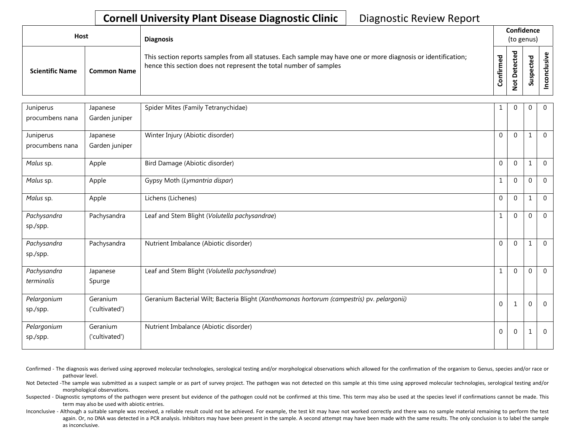## **Cornell University Plant Disease Diagnostic Clinic** | Diagnostic Review Report

| <b>Host</b>            |                    | <b>Diagnosis</b>                                                                                                                                                                   |              | Confidence<br>(to genus) |   |                      |
|------------------------|--------------------|------------------------------------------------------------------------------------------------------------------------------------------------------------------------------------|--------------|--------------------------|---|----------------------|
| <b>Scientific Name</b> | <b>Common Name</b> | This section reports samples from all statuses. Each sample may have one or more diagnosis or identification;<br>hence this section does not represent the total number of samples | med<br>onfir | ਠ<br>೭<br>ى<br>o         | n | $\ddot{\phantom{0}}$ |

| Juniperus       | Japanese       | Spider Mites (Family Tetranychidae)                                                         | 1                | $\mathbf{0}$   | $\Omega$     | $\Omega$       |
|-----------------|----------------|---------------------------------------------------------------------------------------------|------------------|----------------|--------------|----------------|
| procumbens nana | Garden juniper |                                                                                             |                  |                |              |                |
| Juniperus       | Japanese       | Winter Injury (Abiotic disorder)                                                            | $\mathbf 0$      | $\overline{0}$ | $\mathbf{1}$ | $\Omega$       |
| procumbens nana | Garden juniper |                                                                                             |                  |                |              |                |
| Malus sp.       | Apple          | Bird Damage (Abiotic disorder)                                                              | $\mathbf{0}$     | $\mathbf 0$    | $\mathbf{1}$ | $\overline{0}$ |
| Malus sp.       | Apple          | Gypsy Moth (Lymantria dispar)                                                               | $\mathbf{1}$     | $\mathbf 0$    | $\Omega$     | $\overline{0}$ |
| Malus sp.       | Apple          | Lichens (Lichenes)                                                                          | $\mathbf 0$      | $\mathbf 0$    | $\mathbf{1}$ | $\overline{0}$ |
| Pachysandra     | Pachysandra    | Leaf and Stem Blight (Volutella pachysandrae)                                               | $\mathbf{1}$     | $\mathbf 0$    | $\Omega$     | $\Omega$       |
| sp./spp.        |                |                                                                                             |                  |                |              |                |
| Pachysandra     | Pachysandra    | Nutrient Imbalance (Abiotic disorder)                                                       | $\mathbf{0}$     | $\mathbf{0}$   | 1            | $\overline{0}$ |
| sp./spp.        |                |                                                                                             |                  |                |              |                |
| Pachysandra     | Japanese       | Leaf and Stem Blight (Volutella pachysandrae)                                               | $\mathbf{1}$     | $\Omega$       | $\theta$     | $\mathbf{0}$   |
| terminalis      | Spurge         |                                                                                             |                  |                |              |                |
| Pelargonium     | Geranium       | Geranium Bacterial Wilt; Bacteria Blight (Xanthomonas hortorum (campestris) pv. pelargonii) | $\boldsymbol{0}$ | $\mathbf{1}$   | $\Omega$     | $\Omega$       |
| sp./spp.        | ('cultivated') |                                                                                             |                  |                |              |                |
| Pelargonium     | Geranium       | Nutrient Imbalance (Abiotic disorder)                                                       | $\boldsymbol{0}$ | $\mathbf 0$    | 1            | $\mathbf{0}$   |
| sp./spp.        | ('cultivated') |                                                                                             |                  |                |              |                |

Confirmed - The diagnosis was derived using approved molecular technologies, serological testing and/or morphological observations which allowed for the confirmation of the organism to Genus, species and/or race or pathovar level.

Not Detected -The sample was submitted as a suspect sample or as part of survey project. The pathogen was not detected on this sample at this time using approved molecular technologies, serological testing and/or morphological observations.

Suspected - Diagnostic symptoms of the pathogen were present but evidence of the pathogen could not be confirmed at this time. This term may also be used at the species level if confirmations cannot be made. This term may also be used with abiotic entries.

Inconclusive - Although a suitable sample was received, a reliable result could not be achieved. For example, the test kit may have not worked correctly and there was no sample material remaining to perform the test again. Or, no DNA was detected in a PCR analysis. Inhibitors may have been present in the sample. A second attempt may have been made with the same results. The only conclusion is to label the sample as inconclusive.